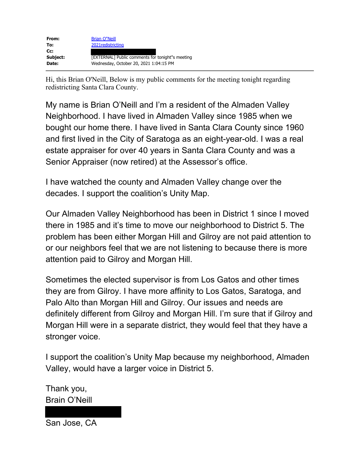

Hi, this Brian O'Neill, Below is my public comments for the meeting tonight regarding redistricting Santa Clara County.

My name is Brian O'Neill and I'm a resident of the Almaden Valley Neighborhood. I have lived in Almaden Valley since 1985 when we bought our home there. I have lived in Santa Clara County since 1960 and first lived in the City of Saratoga as an eight-year-old. I was a real estate appraiser for over 40 years in Santa Clara County and was a Senior Appraiser (now retired) at the Assessor's office.

I have watched the county and Almaden Valley change over the decades. I support the coalition's Unity Map.

Our Almaden Valley Neighborhood has been in District 1 since I moved there in 1985 and it's time to move our neighborhood to District 5. The problem has been either Morgan Hill and Gilroy are not paid attention to or our neighbors feel that we are not listening to because there is more attention paid to Gilroy and Morgan Hill.

Sometimes the elected supervisor is from Los Gatos and other times they are from Gilroy. I have more affinity to Los Gatos, Saratoga, and Palo Alto than Morgan Hill and Gilroy. Our issues and needs are definitely different from Gilroy and Morgan Hill. I'm sure that if Gilroy and Morgan Hill were in a separate district, they would feel that they have a stronger voice.

I support the coalition's Unity Map because my neighborhood, Almaden Valley, would have a larger voice in District 5.

Thank you, Brain O'Neill

San Jose, CA